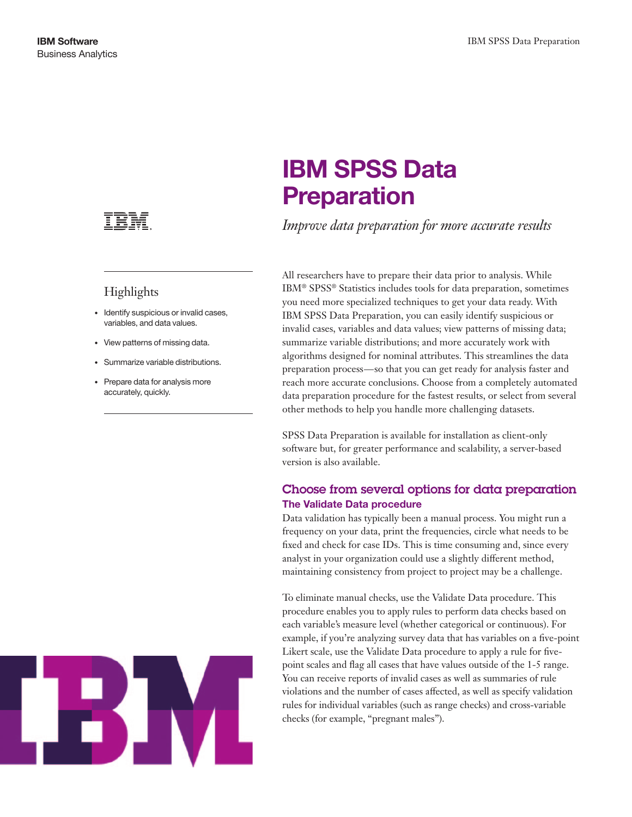

## Highlights

- • Identify suspicious or invalid cases, variables, and data values.
- • View patterns of missing data.
- • Summarize variable distributions.
- • Prepare data for analysis more accurately, quickly.



# **IBM SPSS Data Preparation**

*Improve data preparation for more accurate results*

All researchers have to prepare their data prior to analysis. While IBM® SPSS® Statistics includes tools for data preparation, sometimes you need more specialized techniques to get your data ready. With IBM SPSS Data Preparation, you can easily identify suspicious or invalid cases, variables and data values; view patterns of missing data; summarize variable distributions; and more accurately work with algorithms designed for nominal attributes. This streamlines the data preparation process—so that you can get ready for analysis faster and reach more accurate conclusions. Choose from a completely automated data preparation procedure for the fastest results, or select from several other methods to help you handle more challenging datasets.

SPSS Data Preparation is available for installation as client-only software but, for greater performance and scalability, a server-based version is also available.

## Choose from several options for data preparation **The Validate Data procedure**

Data validation has typically been a manual process. You might run a frequency on your data, print the frequencies, circle what needs to be fixed and check for case IDs. This is time consuming and, since every analyst in your organization could use a slightly different method, maintaining consistency from project to project may be a challenge.

To eliminate manual checks, use the Validate Data procedure. This procedure enables you to apply rules to perform data checks based on each variable's measure level (whether categorical or continuous). For example, if you're analyzing survey data that has variables on a five-point Likert scale, use the Validate Data procedure to apply a rule for fivepoint scales and flag all cases that have values outside of the 1-5 range. You can receive reports of invalid cases as well as summaries of rule violations and the number of cases affected, as well as specify validation rules for individual variables (such as range checks) and cross-variable checks (for example, "pregnant males").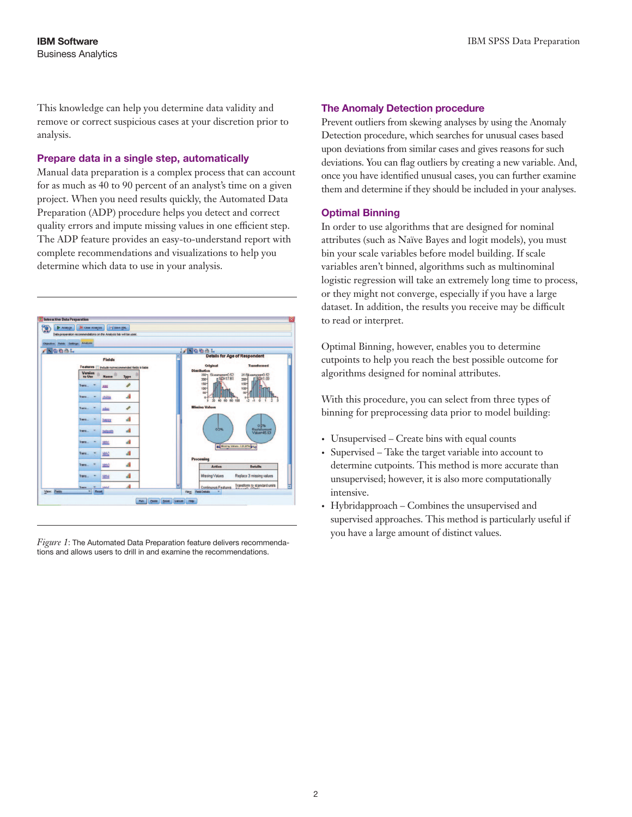This knowledge can help you determine data validity and remove or correct suspicious cases at your discretion prior to analysis.

#### **Prepare data in a single step, automatically**

Manual data preparation is a complex process that can account for as much as 40 to 90 percent of an analyst's time on a given project. When you need results quickly, the Automated Data Preparation (ADP) procedure helps you detect and correct quality errors and impute missing values in one efficient step. The ADP feature provides an easy-to-understand report with complete recommendations and visualizations to help you determine which data to use in your analysis.



*Figure 1*: The Automated Data Preparation feature delivers recommendations and allows users to drill in and examine the recommendations.

#### **The Anomaly Detection procedure**

Prevent outliers from skewing analyses by using the Anomaly Detection procedure, which searches for unusual cases based upon deviations from similar cases and gives reasons for such deviations. You can flag outliers by creating a new variable. And, once you have identified unusual cases, you can further examine them and determine if they should be included in your analyses.

#### **Optimal Binning**

In order to use algorithms that are designed for nominal attributes (such as Naïve Bayes and logit models), you must bin your scale variables before model building. If scale variables aren't binned, algorithms such as multinominal logistic regression will take an extremely long time to process, or they might not converge, especially if you have a large dataset. In addition, the results you receive may be difficult to read or interpret.

Optimal Binning, however, enables you to determine cutpoints to help you reach the best possible outcome for algorithms designed for nominal attributes.

With this procedure, you can select from three types of binning for preprocessing data prior to model building:

- Unsupervised Create bins with equal counts
- Supervised Take the target variable into account to determine cutpoints. This method is more accurate than unsupervised; however, it is also more computationally intensive.
- • Hybridapproach Combines the unsupervised and supervised approaches. This method is particularly useful if you have a large amount of distinct values.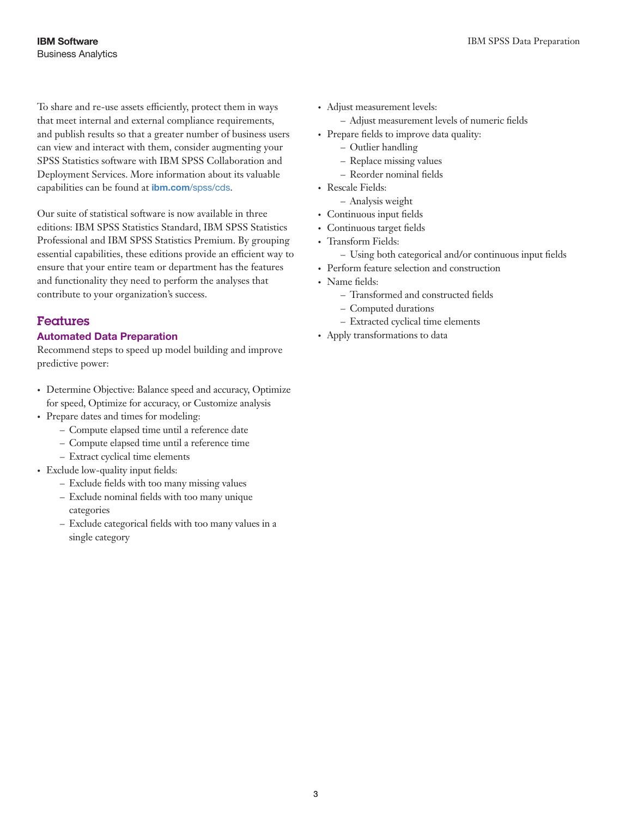To share and re-use assets efficiently, protect them in ways that meet internal and external compliance requirements, and publish results so that a greater number of business users can view and interact with them, consider augmenting your SPSS Statistics software with IBM SPSS Collaboration and Deployment Services. More information about its valuable capabilities can be found at ibm.com[/spss/cds](http://www.ibm.com/software/analytics/spss/products/deployment/cds/).

Our suite of statistical software is now available in three editions: IBM SPSS Statistics Standard, IBM SPSS Statistics Professional and IBM SPSS Statistics Premium. By grouping essential capabilities, these editions provide an efficient way to ensure that your entire team or department has the features and functionality they need to perform the analyses that contribute to your organization's success.

## Features

#### **Automated Data Preparation**

Recommend steps to speed up model building and improve predictive power:

- Determine Objective: Balance speed and accuracy, Optimize for speed, Optimize for accuracy, or Customize analysis
- Prepare dates and times for modeling:
	- Compute elapsed time until a reference date
	- Compute elapsed time until a reference time
	- Extract cyclical time elements
- Exclude low-quality input fields:
	- Exclude fields with too many missing values
	- Exclude nominal fields with too many unique categories
	- Exclude categorical fields with too many values in a single category
- Adjust measurement levels:
	- Adjust measurement levels of numeric fields
- Prepare fields to improve data quality:
	- Outlier handling
	- Replace missing values
	- Reorder nominal fields
- Rescale Fields:
- Analysis weight
- • Continuous input fields
- • Continuous target fields
- Transform Fields:
	- Using both categorical and/or continuous input fields
- • Perform feature selection and construction
- Name fields:
	- Transformed and constructed fields
	- Computed durations
	- Extracted cyclical time elements
- • Apply transformations to data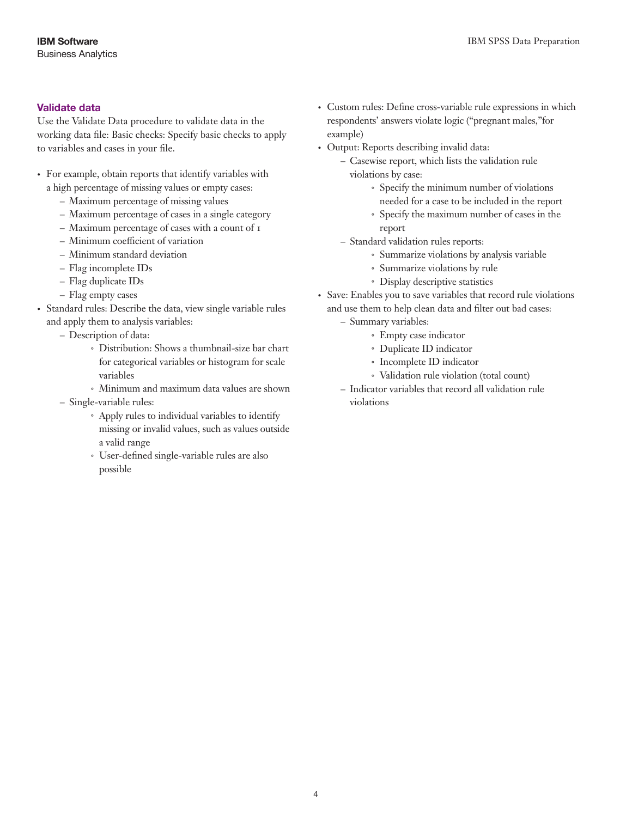#### **Validate data**

Use the Validate Data procedure to validate data in the working data file: Basic checks: Specify basic checks to apply to variables and cases in your file.

- • For example, obtain reports that identify variables with a high percentage of missing values or empty cases:
	- Maximum percentage of missing values
	- Maximum percentage of cases in a single category
	- Maximum percentage of cases with a count of 1
	- Minimum coefficient of variation
	- Minimum standard deviation
	- Flag incomplete IDs
	- Flag duplicate IDs
	- Flag empty cases
- • Standard rules: Describe the data, view single variable rules and apply them to analysis variables:
	- Description of data:
		- *˚* Distribution: Shows a thumbnail-size bar chart for categorical variables or histogram for scale variables
		- *˚* Minimum and maximum data values are shown
	- Single-variable rules:
		- *˚* Apply rules to individual variables to identify missing or invalid values, such as values outside a valid range
		- *˚* User-defined single-variable rules are also possible
- • Custom rules: Define cross-variable rule expressions in which respondents' answers violate logic ("pregnant males,"for example)
- • Output: Reports describing invalid data:
	- Casewise report, which lists the validation rule violations by case:
		- *˚* Specify the minimum number of violations needed for a case to be included in the report
		- *˚* Specify the maximum number of cases in the report
	- Standard validation rules reports:
		- *˚* Summarize violations by analysis variable
		- *˚* Summarize violations by rule
		- *˚* Display descriptive statistics
- • Save: Enables you to save variables that record rule violations and use them to help clean data and filter out bad cases:
	- Summary variables:
		- *˚* Empty case indicator
		- *˚* Duplicate ID indicator
		- *˚* Incomplete ID indicator
		- *˚* Validation rule violation (total count)
	- Indicator variables that record all validation rule violations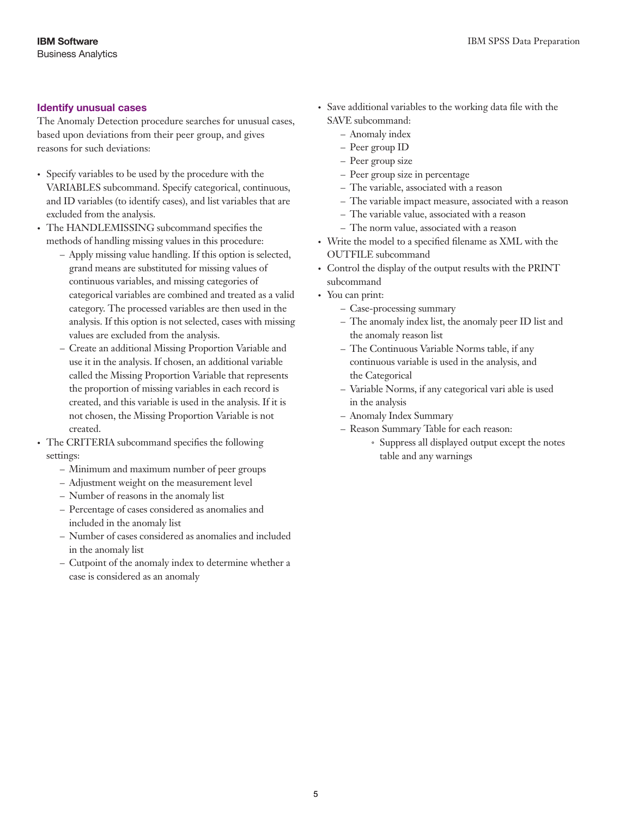#### **Identify unusual cases**

The Anomaly Detection procedure searches for unusual cases, based upon deviations from their peer group, and gives reasons for such deviations:

- • Specify variables to be used by the procedure with the VARIABLES subcommand. Specify categorical, continuous, and ID variables (to identify cases), and list variables that are excluded from the analysis.
- The HANDLEMISSING subcommand specifies the methods of handling missing values in this procedure:
	- Apply missing value handling. If this option is selected, grand means are substituted for missing values of continuous variables, and missing categories of categorical variables are combined and treated as a valid category. The processed variables are then used in the analysis. If this option is not selected, cases with missing values are excluded from the analysis.
	- Create an additional Missing Proportion Variable and use it in the analysis. If chosen, an additional variable called the Missing Proportion Variable that represents the proportion of missing variables in each record is created, and this variable is used in the analysis. If it is not chosen, the Missing Proportion Variable is not created.
- The CRITERIA subcommand specifies the following settings:
	- Minimum and maximum number of peer groups
	- Adjustment weight on the measurement level
	- Number of reasons in the anomaly list
	- Percentage of cases considered as anomalies and included in the anomaly list
	- Number of cases considered as anomalies and included in the anomaly list
	- Cutpoint of the anomaly index to determine whether a case is considered as an anomaly
- • Save additional variables to the working data file with the SAVE subcommand:
	- Anomaly index
	- Peer group ID
	- Peer group size
	- Peer group size in percentage
	- The variable, associated with a reason
	- The variable impact measure, associated with a reason
	- The variable value, associated with a reason
	- The norm value, associated with a reason
- • Write the model to a specified filename as XML with the OUTFILE subcommand
- • Control the display of the output results with the PRINT subcommand
- You can print:
	- Case-processing summary
	- The anomaly index list, the anomaly peer ID list and the anomaly reason list
	- The Continuous Variable Norms table, if any continuous variable is used in the analysis, and the Categorical
	- Variable Norms, if any categorical vari able is used in the analysis
	- Anomaly Index Summary
	- Reason Summary Table for each reason:
		- *˚* Suppress all displayed output except the notes table and any warnings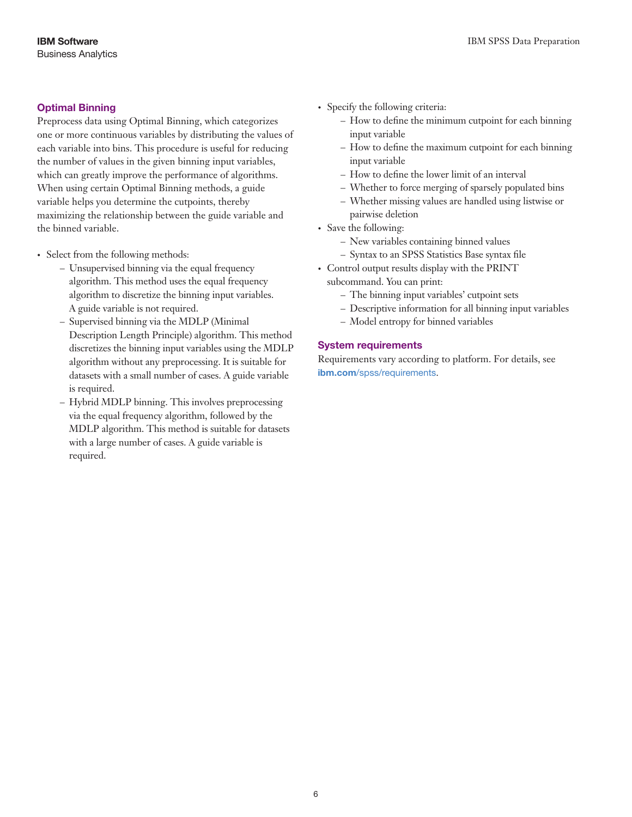### **Optimal Binning**

Preprocess data using Optimal Binning, which categorizes one or more continuous variables by distributing the values of each variable into bins. This procedure is useful for reducing the number of values in the given binning input variables, which can greatly improve the performance of algorithms. When using certain Optimal Binning methods, a guide variable helps you determine the cutpoints, thereby maximizing the relationship between the guide variable and the binned variable.

- Select from the following methods:
	- Unsupervised binning via the equal frequency algorithm. This method uses the equal frequency algorithm to discretize the binning input variables. A guide variable is not required.
	- Supervised binning via the MDLP (Minimal Description Length Principle) algorithm. This method discretizes the binning input variables using the MDLP algorithm without any preprocessing. It is suitable for datasets with a small number of cases. A guide variable is required.
	- Hybrid MDLP binning. This involves preprocessing via the equal frequency algorithm, followed by the MDLP algorithm. This method is suitable for datasets with a large number of cases. A guide variable is required.
- Specify the following criteria:
	- How to define the minimum cutpoint for each binning input variable
	- How to define the maximum cutpoint for each binning input variable
	- How to define the lower limit of an interval
	- Whether to force merging of sparsely populated bins
	- Whether missing values are handled using listwise or pairwise deletion
- Save the following:
	- New variables containing binned values
	- Syntax to an SPSS Statistics Base syntax file
- • Control output results display with the PRINT subcommand. You can print:
	- The binning input variables' cutpoint sets
	- Descriptive information for all binning input variables
	- Model entropy for binned variables

#### **System requirements**

Requirements vary according to platform. For details, see ibm.com[/spss/requirements](http://www.ibm.com/software/analytics/spss/products/statistics/requirements.html).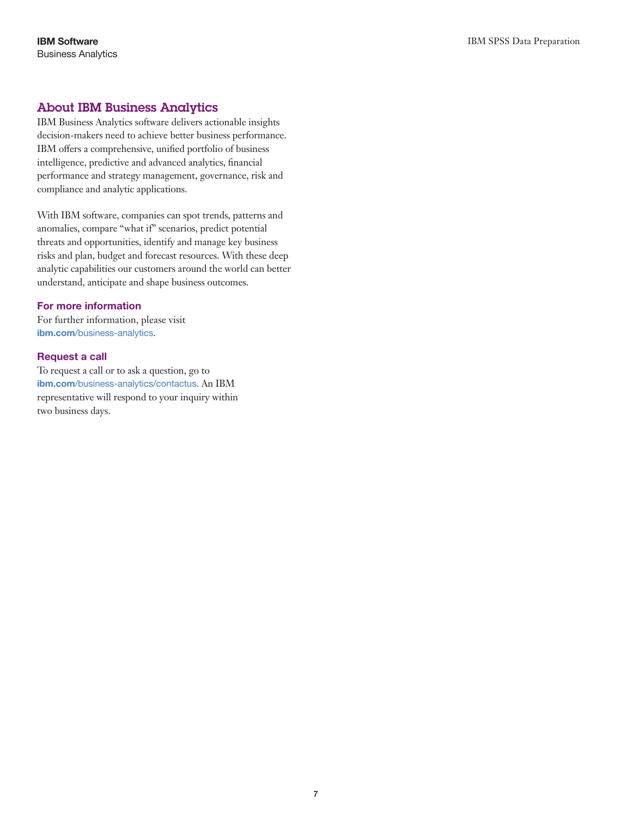## About IBM Business Analytics

IBM Business Analytics software delivers actionable insights decision-makers need to achieve better business performance. IBM offers a comprehensive, unified portfolio of business intelligence, predictive and advanced analytics, financial performance and strategy management, governance, risk and compliance and analytic applications.

With IBM software, companies can spot trends, patterns and anomalies, compare "what if" scenarios, predict potential threats and opportunities, identify and manage key business risks and plan, budget and forecast resources. With these deep analytic capabilities our customers around the world can better understand, anticipate and shape business outcomes.

#### **For more information**

For further information, please visit ibm.com[/business-analytics](http://www.ibm.com/business-analytics).

#### **Request a call**

To request a call or to ask a question, go to ibm.com[/business-analytics/contactus](http://forms.cognos.com/?elqPURLPage=2300&offid=contactus_ba_collateral&mc=-web_ibm_ba_contactus). An IBM representative will respond to your inquiry within two business days.